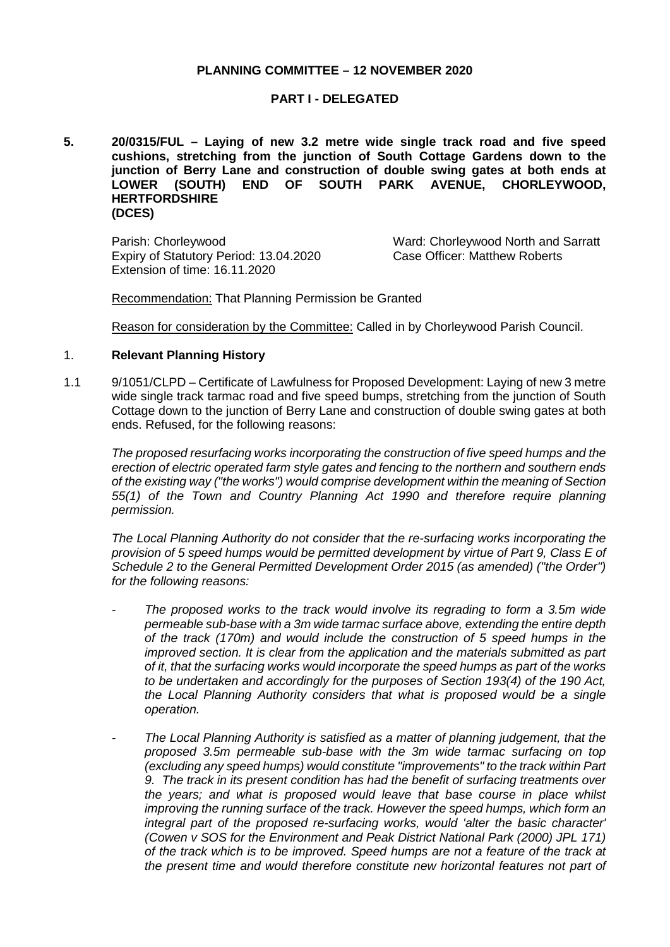# **PLANNING COMMITTEE – 12 NOVEMBER 2020**

### **PART I - DELEGATED**

**5. 20/0315/FUL – Laying of new 3.2 metre wide single track road and five speed cushions, stretching from the junction of South Cottage Gardens down to the junction of Berry Lane and construction of double swing gates at both ends at**  PARK AVENUE, CHORLEYWOOD, **HERTFORDSHIRE (DCES)**

Parish: Chorleywood **Ward: Chorleywood North and Sarratt** Expiry of Statutory Period: 13.04.2020 Extension of time: 16.11.2020

Case Officer: Matthew Roberts

Recommendation: That Planning Permission be Granted

Reason for consideration by the Committee: Called in by Chorleywood Parish Council.

# 1. **Relevant Planning History**

1.1 9/1051/CLPD – Certificate of Lawfulness for Proposed Development: Laying of new 3 metre wide single track tarmac road and five speed bumps, stretching from the junction of South Cottage down to the junction of Berry Lane and construction of double swing gates at both ends. Refused, for the following reasons:

*The proposed resurfacing works incorporating the construction of five speed humps and the erection of electric operated farm style gates and fencing to the northern and southern ends of the existing way ("the works") would comprise development within the meaning of Section 55(1) of the Town and Country Planning Act 1990 and therefore require planning permission.*

*The Local Planning Authority do not consider that the re-surfacing works incorporating the provision of 5 speed humps would be permitted development by virtue of Part 9, Class E of Schedule 2 to the General Permitted Development Order 2015 (as amended) ("the Order") for the following reasons:*

- *- The proposed works to the track would involve its regrading to form a 3.5m wide permeable sub-base with a 3m wide tarmac surface above, extending the entire depth of the track (170m) and would include the construction of 5 speed humps in the improved section. It is clear from the application and the materials submitted as part of it, that the surfacing works would incorporate the speed humps as part of the works to be undertaken and accordingly for the purposes of Section 193(4) of the 190 Act, the Local Planning Authority considers that what is proposed would be a single operation.*
- *- The Local Planning Authority is satisfied as a matter of planning judgement, that the proposed 3.5m permeable sub-base with the 3m wide tarmac surfacing on top (excluding any speed humps) would constitute "improvements" to the track within Part 9. The track in its present condition has had the benefit of surfacing treatments over the years; and what is proposed would leave that base course in place whilst improving the running surface of the track. However the speed humps, which form an integral part of the proposed re-surfacing works, would 'alter the basic character' (Cowen v SOS for the Environment and Peak District National Park (2000) JPL 171) of the track which is to be improved. Speed humps are not a feature of the track at the present time and would therefore constitute new horizontal features not part of*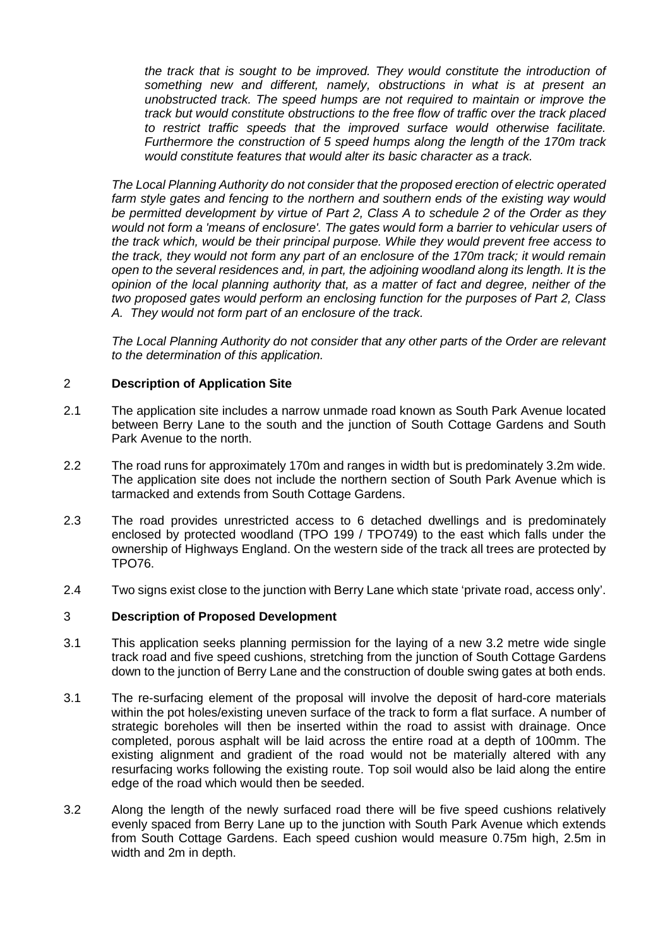*the track that is sought to be improved. They would constitute the introduction of something new and different, namely, obstructions in what is at present an unobstructed track. The speed humps are not required to maintain or improve the track but would constitute obstructions to the free flow of traffic over the track placed to restrict traffic speeds that the improved surface would otherwise facilitate. Furthermore the construction of 5 speed humps along the length of the 170m track would constitute features that would alter its basic character as a track.*

*The Local Planning Authority do not consider that the proposed erection of electric operated farm style gates and fencing to the northern and southern ends of the existing way would be permitted development by virtue of Part 2, Class A to schedule 2 of the Order as they would not form a 'means of enclosure'. The gates would form a barrier to vehicular users of the track which, would be their principal purpose. While they would prevent free access to the track, they would not form any part of an enclosure of the 170m track; it would remain open to the several residences and, in part, the adjoining woodland along its length. It is the opinion of the local planning authority that, as a matter of fact and degree, neither of the two proposed gates would perform an enclosing function for the purposes of Part 2, Class A. They would not form part of an enclosure of the track.*

*The Local Planning Authority do not consider that any other parts of the Order are relevant to the determination of this application.*

# 2 **Description of Application Site**

- 2.1 The application site includes a narrow unmade road known as South Park Avenue located between Berry Lane to the south and the junction of South Cottage Gardens and South Park Avenue to the north.
- 2.2 The road runs for approximately 170m and ranges in width but is predominately 3.2m wide. The application site does not include the northern section of South Park Avenue which is tarmacked and extends from South Cottage Gardens.
- 2.3 The road provides unrestricted access to 6 detached dwellings and is predominately enclosed by protected woodland (TPO 199 / TPO749) to the east which falls under the ownership of Highways England. On the western side of the track all trees are protected by TPO76.
- 2.4 Two signs exist close to the junction with Berry Lane which state 'private road, access only'.

# 3 **Description of Proposed Development**

- 3.1 This application seeks planning permission for the laying of a new 3.2 metre wide single track road and five speed cushions, stretching from the junction of South Cottage Gardens down to the junction of Berry Lane and the construction of double swing gates at both ends.
- 3.1 The re-surfacing element of the proposal will involve the deposit of hard-core materials within the pot holes/existing uneven surface of the track to form a flat surface. A number of strategic boreholes will then be inserted within the road to assist with drainage. Once completed, porous asphalt will be laid across the entire road at a depth of 100mm. The existing alignment and gradient of the road would not be materially altered with any resurfacing works following the existing route. Top soil would also be laid along the entire edge of the road which would then be seeded.
- 3.2 Along the length of the newly surfaced road there will be five speed cushions relatively evenly spaced from Berry Lane up to the junction with South Park Avenue which extends from South Cottage Gardens. Each speed cushion would measure 0.75m high, 2.5m in width and 2m in depth.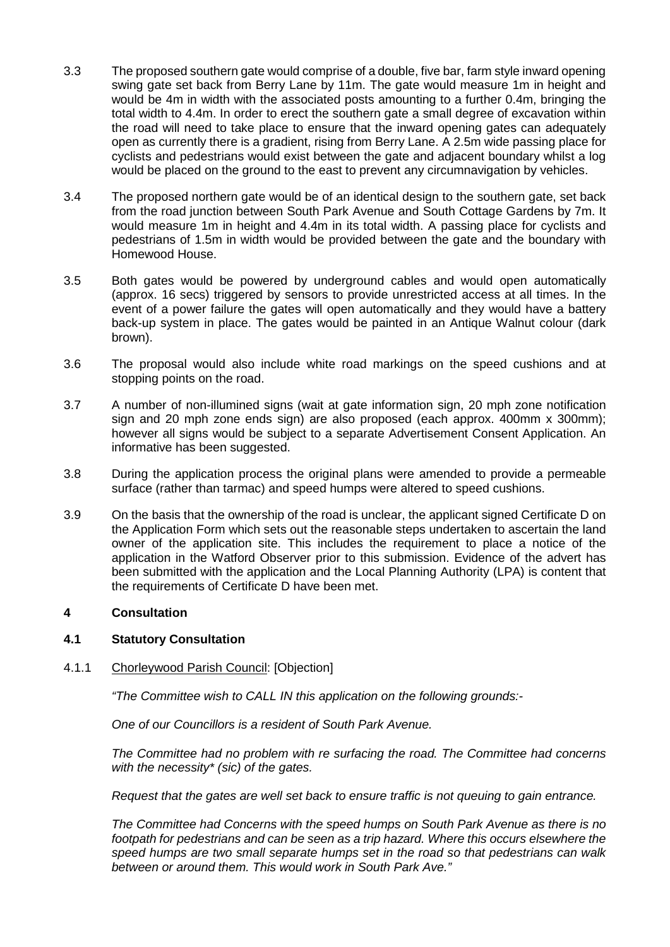- 3.3 The proposed southern gate would comprise of a double, five bar, farm style inward opening swing gate set back from Berry Lane by 11m. The gate would measure 1m in height and would be 4m in width with the associated posts amounting to a further 0.4m, bringing the total width to 4.4m. In order to erect the southern gate a small degree of excavation within the road will need to take place to ensure that the inward opening gates can adequately open as currently there is a gradient, rising from Berry Lane. A 2.5m wide passing place for cyclists and pedestrians would exist between the gate and adjacent boundary whilst a log would be placed on the ground to the east to prevent any circumnavigation by vehicles.
- 3.4 The proposed northern gate would be of an identical design to the southern gate, set back from the road junction between South Park Avenue and South Cottage Gardens by 7m. It would measure 1m in height and 4.4m in its total width. A passing place for cyclists and pedestrians of 1.5m in width would be provided between the gate and the boundary with Homewood House.
- 3.5 Both gates would be powered by underground cables and would open automatically (approx. 16 secs) triggered by sensors to provide unrestricted access at all times. In the event of a power failure the gates will open automatically and they would have a battery back-up system in place. The gates would be painted in an Antique Walnut colour (dark brown).
- 3.6 The proposal would also include white road markings on the speed cushions and at stopping points on the road.
- 3.7 A number of non-illumined signs (wait at gate information sign, 20 mph zone notification sign and 20 mph zone ends sign) are also proposed (each approx. 400mm x 300mm); however all signs would be subject to a separate Advertisement Consent Application. An informative has been suggested.
- 3.8 During the application process the original plans were amended to provide a permeable surface (rather than tarmac) and speed humps were altered to speed cushions.
- 3.9 On the basis that the ownership of the road is unclear, the applicant signed Certificate D on the Application Form which sets out the reasonable steps undertaken to ascertain the land owner of the application site. This includes the requirement to place a notice of the application in the Watford Observer prior to this submission. Evidence of the advert has been submitted with the application and the Local Planning Authority (LPA) is content that the requirements of Certificate D have been met.

# **4 Consultation**

# **4.1 Statutory Consultation**

### 4.1.1 Chorleywood Parish Council: [Objection]

*"The Committee wish to CALL IN this application on the following grounds:-*

*One of our Councillors is a resident of South Park Avenue.* 

*The Committee had no problem with re surfacing the road. The Committee had concerns with the necessity\* (sic) of the gates.*

*Request that the gates are well set back to ensure traffic is not queuing to gain entrance.*

*The Committee had Concerns with the speed humps on South Park Avenue as there is no footpath for pedestrians and can be seen as a trip hazard. Where this occurs elsewhere the speed humps are two small separate humps set in the road so that pedestrians can walk between or around them. This would work in South Park Ave."*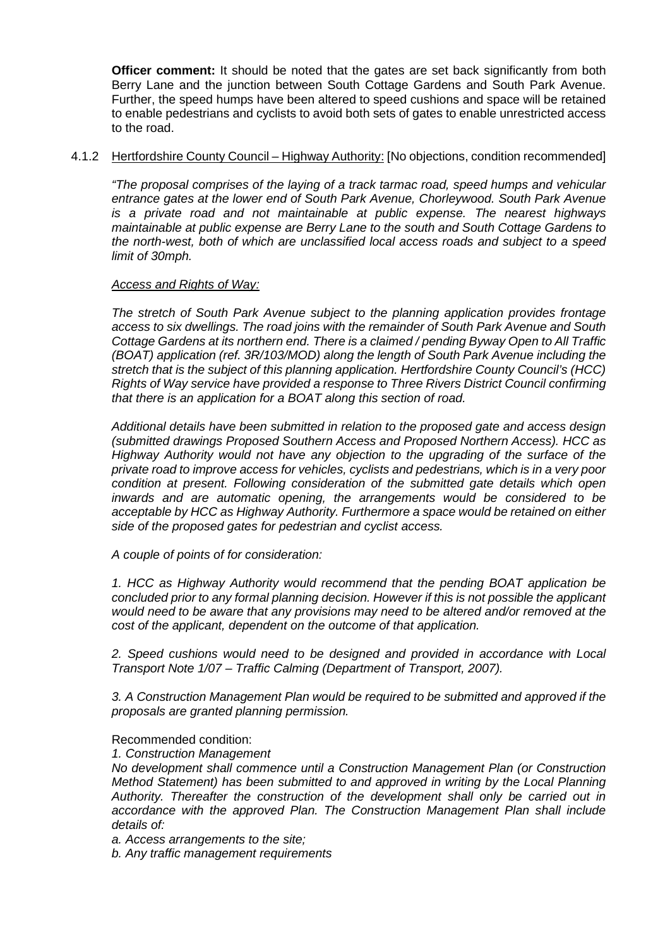**Officer comment:** It should be noted that the gates are set back significantly from both Berry Lane and the junction between South Cottage Gardens and South Park Avenue. Further, the speed humps have been altered to speed cushions and space will be retained to enable pedestrians and cyclists to avoid both sets of gates to enable unrestricted access to the road.

# 4.1.2 Hertfordshire County Council – Highway Authority: [No objections, condition recommended]

*"The proposal comprises of the laying of a track tarmac road, speed humps and vehicular entrance gates at the lower end of South Park Avenue, Chorleywood. South Park Avenue is a private road and not maintainable at public expense. The nearest highways maintainable at public expense are Berry Lane to the south and South Cottage Gardens to the north-west, both of which are unclassified local access roads and subject to a speed limit of 30mph.*

# *Access and Rights of Way:*

*The stretch of South Park Avenue subject to the planning application provides frontage access to six dwellings. The road joins with the remainder of South Park Avenue and South Cottage Gardens at its northern end. There is a claimed / pending Byway Open to All Traffic (BOAT) application (ref. 3R/103/MOD) along the length of South Park Avenue including the stretch that is the subject of this planning application. Hertfordshire County Council's (HCC) Rights of Way service have provided a response to Three Rivers District Council confirming that there is an application for a BOAT along this section of road.*

*Additional details have been submitted in relation to the proposed gate and access design (submitted drawings Proposed Southern Access and Proposed Northern Access). HCC as Highway Authority would not have any objection to the upgrading of the surface of the private road to improve access for vehicles, cyclists and pedestrians, which is in a very poor condition at present. Following consideration of the submitted gate details which open inwards and are automatic opening, the arrangements would be considered to be acceptable by HCC as Highway Authority. Furthermore a space would be retained on either side of the proposed gates for pedestrian and cyclist access.* 

*A couple of points of for consideration:*

*1. HCC as Highway Authority would recommend that the pending BOAT application be concluded prior to any formal planning decision. However if this is not possible the applicant would need to be aware that any provisions may need to be altered and/or removed at the cost of the applicant, dependent on the outcome of that application.*

*2. Speed cushions would need to be designed and provided in accordance with Local Transport Note 1/07 – Traffic Calming (Department of Transport, 2007).*

*3. A Construction Management Plan would be required to be submitted and approved if the proposals are granted planning permission.*

### Recommended condition:

### *1. Construction Management*

*No development shall commence until a Construction Management Plan (or Construction Method Statement) has been submitted to and approved in writing by the Local Planning Authority. Thereafter the construction of the development shall only be carried out in accordance with the approved Plan. The Construction Management Plan shall include details of:*

*a. Access arrangements to the site;*

*b. Any traffic management requirements*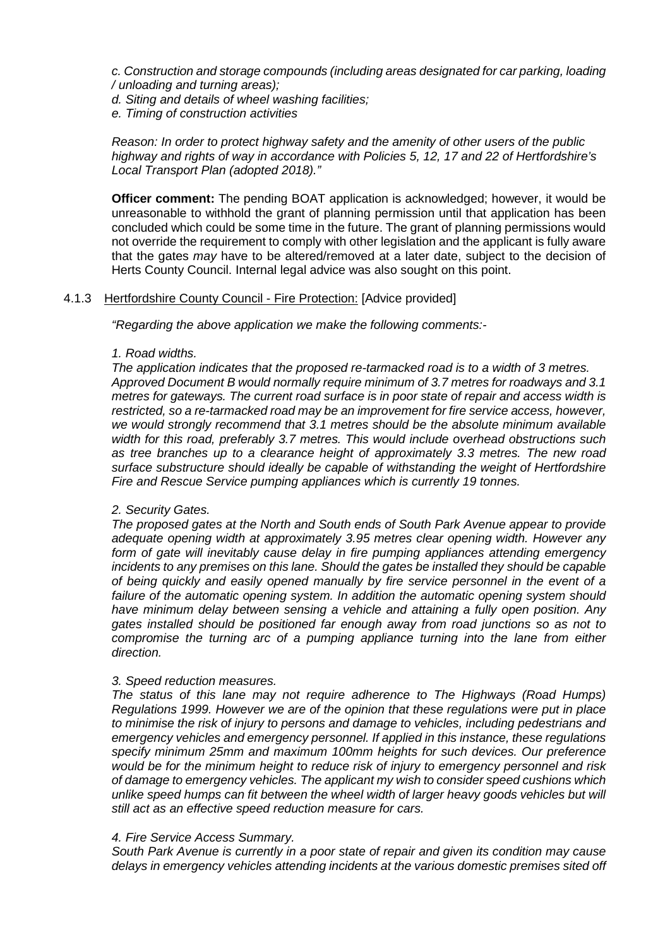*c. Construction and storage compounds (including areas designated for car parking, loading / unloading and turning areas);*

*d. Siting and details of wheel washing facilities;*

*e. Timing of construction activities*

### *Reason: In order to protect highway safety and the amenity of other users of the public highway and rights of way in accordance with Policies 5, 12, 17 and 22 of Hertfordshire's Local Transport Plan (adopted 2018)."*

**Officer comment:** The pending BOAT application is acknowledged; however, it would be unreasonable to withhold the grant of planning permission until that application has been concluded which could be some time in the future. The grant of planning permissions would not override the requirement to comply with other legislation and the applicant is fully aware that the gates *may* have to be altered/removed at a later date, subject to the decision of Herts County Council. Internal legal advice was also sought on this point.

# 4.1.3 Hertfordshire County Council - Fire Protection: [Advice provided]

*"Regarding the above application we make the following comments:-*

### *1. Road widths.*

*The application indicates that the proposed re-tarmacked road is to a width of 3 metres. Approved Document B would normally require minimum of 3.7 metres for roadways and 3.1 metres for gateways. The current road surface is in poor state of repair and access width is restricted, so a re-tarmacked road may be an improvement for fire service access, however, we would strongly recommend that 3.1 metres should be the absolute minimum available width for this road, preferably 3.7 metres. This would include overhead obstructions such as tree branches up to a clearance height of approximately 3.3 metres. The new road surface substructure should ideally be capable of withstanding the weight of Hertfordshire Fire and Rescue Service pumping appliances which is currently 19 tonnes.*

### *2. Security Gates.*

*The proposed gates at the North and South ends of South Park Avenue appear to provide adequate opening width at approximately 3.95 metres clear opening width. However any form of gate will inevitably cause delay in fire pumping appliances attending emergency incidents to any premises on this lane. Should the gates be installed they should be capable of being quickly and easily opened manually by fire service personnel in the event of a failure of the automatic opening system. In addition the automatic opening system should have minimum delay between sensing a vehicle and attaining a fully open position. Any gates installed should be positioned far enough away from road junctions so as not to compromise the turning arc of a pumping appliance turning into the lane from either direction.*

### *3. Speed reduction measures.*

*The status of this lane may not require adherence to The Highways (Road Humps) Regulations 1999. However we are of the opinion that these regulations were put in place to minimise the risk of injury to persons and damage to vehicles, including pedestrians and emergency vehicles and emergency personnel. If applied in this instance, these regulations specify minimum 25mm and maximum 100mm heights for such devices. Our preference would be for the minimum height to reduce risk of injury to emergency personnel and risk of damage to emergency vehicles. The applicant my wish to consider speed cushions which unlike speed humps can fit between the wheel width of larger heavy goods vehicles but will still act as an effective speed reduction measure for cars.*

### *4. Fire Service Access Summary.*

*South Park Avenue is currently in a poor state of repair and given its condition may cause delays in emergency vehicles attending incidents at the various domestic premises sited off*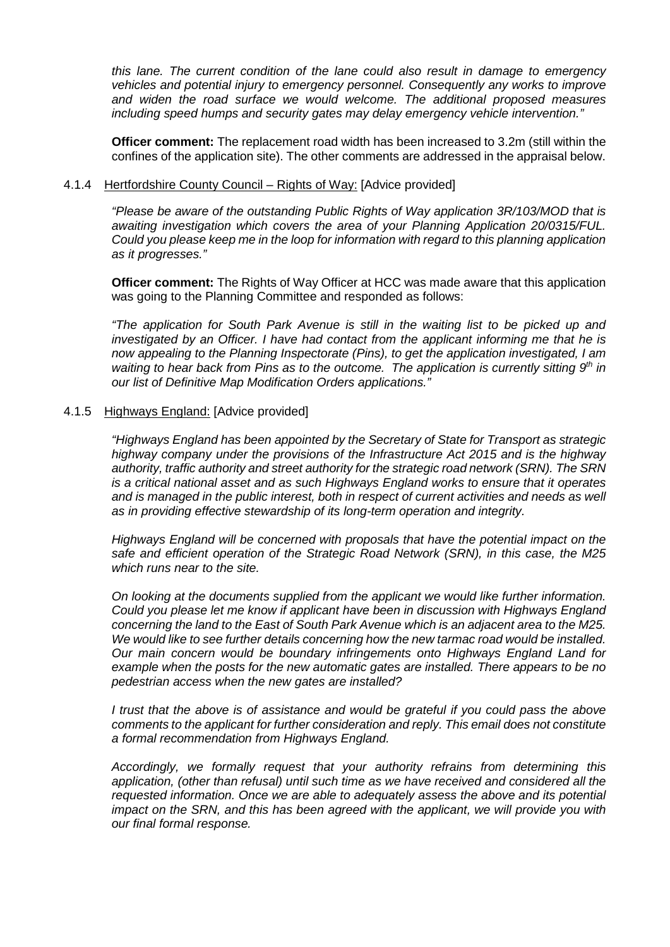*this lane. The current condition of the lane could also result in damage to emergency vehicles and potential injury to emergency personnel. Consequently any works to improve and widen the road surface we would welcome. The additional proposed measures including speed humps and security gates may delay emergency vehicle intervention."*

**Officer comment:** The replacement road width has been increased to 3.2m (still within the confines of the application site). The other comments are addressed in the appraisal below.

### 4.1.4 Hertfordshire County Council – Rights of Way: [Advice provided]

*"Please be aware of the outstanding Public Rights of Way application 3R/103/MOD that is awaiting investigation which covers the area of your Planning Application 20/0315/FUL. Could you please keep me in the loop for information with regard to this planning application as it progresses."*

**Officer comment:** The Rights of Way Officer at HCC was made aware that this application was going to the Planning Committee and responded as follows:

*"The application for South Park Avenue is still in the waiting list to be picked up and investigated by an Officer. I have had contact from the applicant informing me that he is now appealing to the Planning Inspectorate (Pins), to get the application investigated, I am waiting to hear back from Pins as to the outcome. The application is currently sitting 9<sup>th</sup> in our list of Definitive Map Modification Orders applications."*

# 4.1.5 Highways England: [Advice provided]

*"Highways England has been appointed by the Secretary of State for Transport as strategic highway company under the provisions of the Infrastructure Act 2015 and is the highway authority, traffic authority and street authority for the strategic road network (SRN). The SRN is a critical national asset and as such Highways England works to ensure that it operates and is managed in the public interest, both in respect of current activities and needs as well as in providing effective stewardship of its long-term operation and integrity.*

*Highways England will be concerned with proposals that have the potential impact on the safe and efficient operation of the Strategic Road Network (SRN), in this case, the M25 which runs near to the site.*

*On looking at the documents supplied from the applicant we would like further information. Could you please let me know if applicant have been in discussion with Highways England concerning the land to the East of South Park Avenue which is an adjacent area to the M25. We would like to see further details concerning how the new tarmac road would be installed. Our main concern would be boundary infringements onto Highways England Land for example when the posts for the new automatic gates are installed. There appears to be no pedestrian access when the new gates are installed?*

*I trust that the above is of assistance and would be grateful if you could pass the above comments to the applicant for further consideration and reply. This email does not constitute a formal recommendation from Highways England.*

*Accordingly, we formally request that your authority refrains from determining this application, (other than refusal) until such time as we have received and considered all the requested information. Once we are able to adequately assess the above and its potential impact on the SRN, and this has been agreed with the applicant, we will provide you with our final formal response.*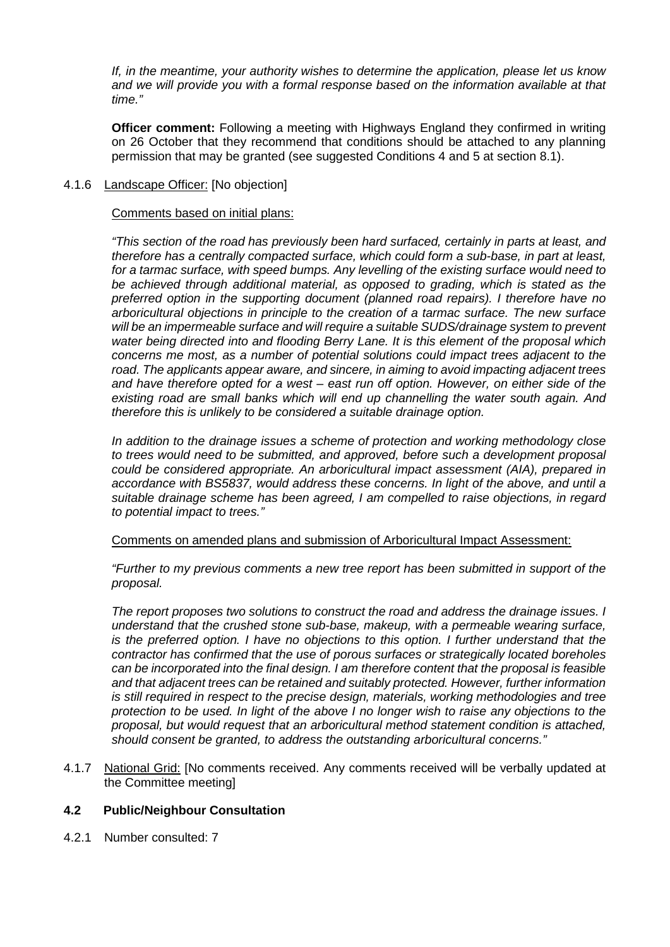*If, in the meantime, your authority wishes to determine the application, please let us know*  and we will provide you with a formal response based on the information available at that *time."*

**Officer comment:** Following a meeting with Highways England they confirmed in writing on 26 October that they recommend that conditions should be attached to any planning permission that may be granted (see suggested Conditions 4 and 5 at section 8.1).

# 4.1.6 Landscape Officer: [No objection]

### Comments based on initial plans:

*"This section of the road has previously been hard surfaced, certainly in parts at least, and therefore has a centrally compacted surface, which could form a sub-base, in part at least, for a tarmac surface, with speed bumps. Any levelling of the existing surface would need to be achieved through additional material, as opposed to grading, which is stated as the preferred option in the supporting document (planned road repairs). I therefore have no arboricultural objections in principle to the creation of a tarmac surface. The new surface will be an impermeable surface and will require a suitable SUDS/drainage system to prevent water being directed into and flooding Berry Lane. It is this element of the proposal which concerns me most, as a number of potential solutions could impact trees adjacent to the road. The applicants appear aware, and sincere, in aiming to avoid impacting adjacent trees and have therefore opted for a west – east run off option. However, on either side of the existing road are small banks which will end up channelling the water south again. And therefore this is unlikely to be considered a suitable drainage option.*

*In addition to the drainage issues a scheme of protection and working methodology close to trees would need to be submitted, and approved, before such a development proposal could be considered appropriate. An arboricultural impact assessment (AIA), prepared in accordance with BS5837, would address these concerns. In light of the above, and until a suitable drainage scheme has been agreed, I am compelled to raise objections, in regard to potential impact to trees."*

### Comments on amended plans and submission of Arboricultural Impact Assessment:

*"Further to my previous comments a new tree report has been submitted in support of the proposal.*

*The report proposes two solutions to construct the road and address the drainage issues. I understand that the crushed stone sub-base, makeup, with a permeable wearing surface, is the preferred option. I have no objections to this option. I further understand that the contractor has confirmed that the use of porous surfaces or strategically located boreholes can be incorporated into the final design. I am therefore content that the proposal is feasible and that adjacent trees can be retained and suitably protected. However, further information is still required in respect to the precise design, materials, working methodologies and tree protection to be used. In light of the above I no longer wish to raise any objections to the proposal, but would request that an arboricultural method statement condition is attached, should consent be granted, to address the outstanding arboricultural concerns."*

4.1.7 National Grid: [No comments received. Any comments received will be verbally updated at the Committee meeting]

# **4.2 Public/Neighbour Consultation**

4.2.1 Number consulted: 7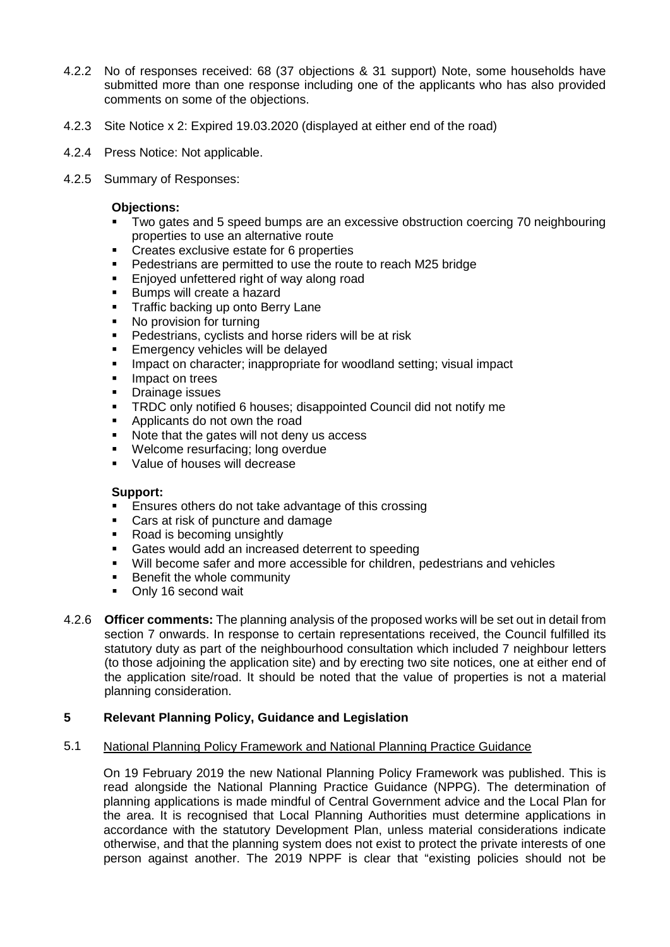- 4.2.2 No of responses received: 68 (37 objections & 31 support) Note, some households have submitted more than one response including one of the applicants who has also provided comments on some of the objections.
- 4.2.3 Site Notice x 2: Expired 19.03.2020 (displayed at either end of the road)
- 4.2.4 Press Notice: Not applicable.
- 4.2.5 Summary of Responses:

### **Objections:**

- Two gates and 5 speed bumps are an excessive obstruction coercing 70 neighbouring properties to use an alternative route
- Creates exclusive estate for 6 properties
- Pedestrians are permitted to use the route to reach M25 bridge
- Enjoyed unfettered right of way along road
- Bumps will create a hazard
- Traffic backing up onto Berry Lane
- No provision for turning
- Pedestrians, cyclists and horse riders will be at risk
- Emergency vehicles will be delayed
- Impact on character; inappropriate for woodland setting; visual impact
- Impact on trees
- Drainage issues
- TRDC only notified 6 houses; disappointed Council did not notify me
- Applicants do not own the road
- Note that the gates will not deny us access
- Welcome resurfacing; long overdue
- **Value of houses will decrease**

### **Support:**

- Ensures others do not take advantage of this crossing
- Cars at risk of puncture and damage
- Road is becoming unsightly
- Gates would add an increased deterrent to speeding
- Will become safer and more accessible for children, pedestrians and vehicles
- Benefit the whole community
- Only 16 second wait
- 4.2.6 **Officer comments:** The planning analysis of the proposed works will be set out in detail from section 7 onwards. In response to certain representations received, the Council fulfilled its statutory duty as part of the neighbourhood consultation which included 7 neighbour letters (to those adjoining the application site) and by erecting two site notices, one at either end of the application site/road. It should be noted that the value of properties is not a material planning consideration.

### **5 Relevant Planning Policy, Guidance and Legislation**

# 5.1 National Planning Policy Framework and National Planning Practice Guidance

On 19 February 2019 the new National Planning Policy Framework was published. This is read alongside the National Planning Practice Guidance (NPPG). The determination of planning applications is made mindful of Central Government advice and the Local Plan for the area. It is recognised that Local Planning Authorities must determine applications in accordance with the statutory Development Plan, unless material considerations indicate otherwise, and that the planning system does not exist to protect the private interests of one person against another. The 2019 NPPF is clear that "existing policies should not be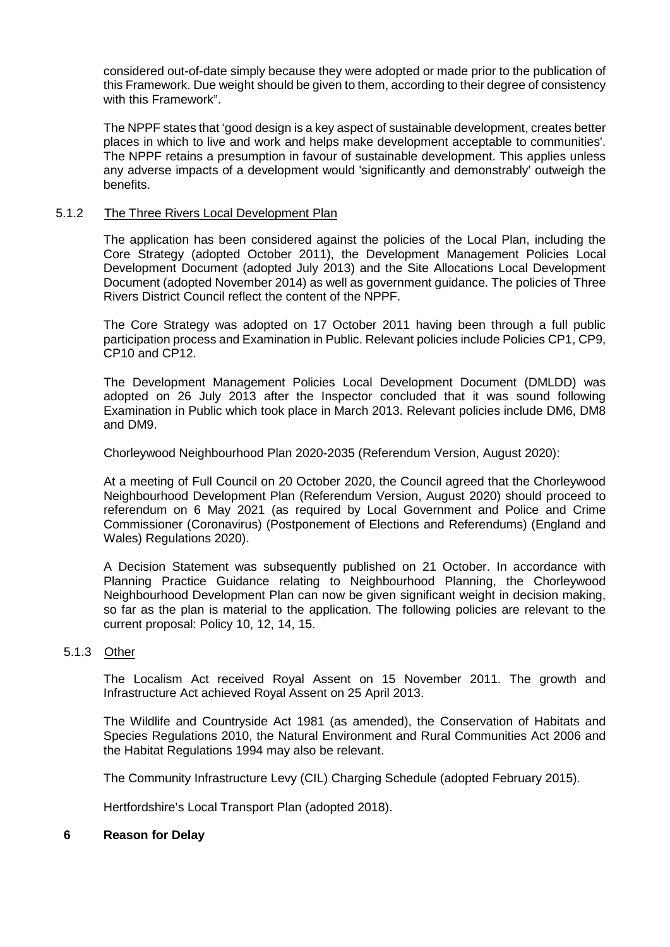considered out-of-date simply because they were adopted or made prior to the publication of this Framework. Due weight should be given to them, according to their degree of consistency with this Framework".

The NPPF states that 'good design is a key aspect of sustainable development, creates better places in which to live and work and helps make development acceptable to communities'. The NPPF retains a presumption in favour of sustainable development. This applies unless any adverse impacts of a development would 'significantly and demonstrably' outweigh the benefits.

### 5.1.2 The Three Rivers Local Development Plan

The application has been considered against the policies of the Local Plan, including the Core Strategy (adopted October 2011), the Development Management Policies Local Development Document (adopted July 2013) and the Site Allocations Local Development Document (adopted November 2014) as well as government guidance. The policies of Three Rivers District Council reflect the content of the NPPF.

The Core Strategy was adopted on 17 October 2011 having been through a full public participation process and Examination in Public. Relevant policies include Policies CP1, CP9, CP10 and CP12.

The Development Management Policies Local Development Document (DMLDD) was adopted on 26 July 2013 after the Inspector concluded that it was sound following Examination in Public which took place in March 2013. Relevant policies include DM6, DM8 and DM9.

Chorleywood Neighbourhood Plan 2020-2035 (Referendum Version, August 2020):

At a meeting of Full Council on 20 October 2020, the Council agreed that the Chorleywood Neighbourhood Development Plan (Referendum Version, August 2020) should proceed to referendum on 6 May 2021 (as required by Local Government and Police and Crime Commissioner (Coronavirus) (Postponement of Elections and Referendums) (England and Wales) Regulations 2020).

A Decision Statement was subsequently published on 21 October. In accordance with Planning Practice Guidance relating to Neighbourhood Planning, the Chorleywood Neighbourhood Development Plan can now be given significant weight in decision making, so far as the plan is material to the application. The following policies are relevant to the current proposal: Policy 10, 12, 14, 15.

# 5.1.3 Other

The Localism Act received Royal Assent on 15 November 2011. The growth and Infrastructure Act achieved Royal Assent on 25 April 2013.

The Wildlife and Countryside Act 1981 (as amended), the Conservation of Habitats and Species Regulations 2010, the Natural Environment and Rural Communities Act 2006 and the Habitat Regulations 1994 may also be relevant.

The Community Infrastructure Levy (CIL) Charging Schedule (adopted February 2015).

Hertfordshire's Local Transport Plan (adopted 2018).

### **6 Reason for Delay**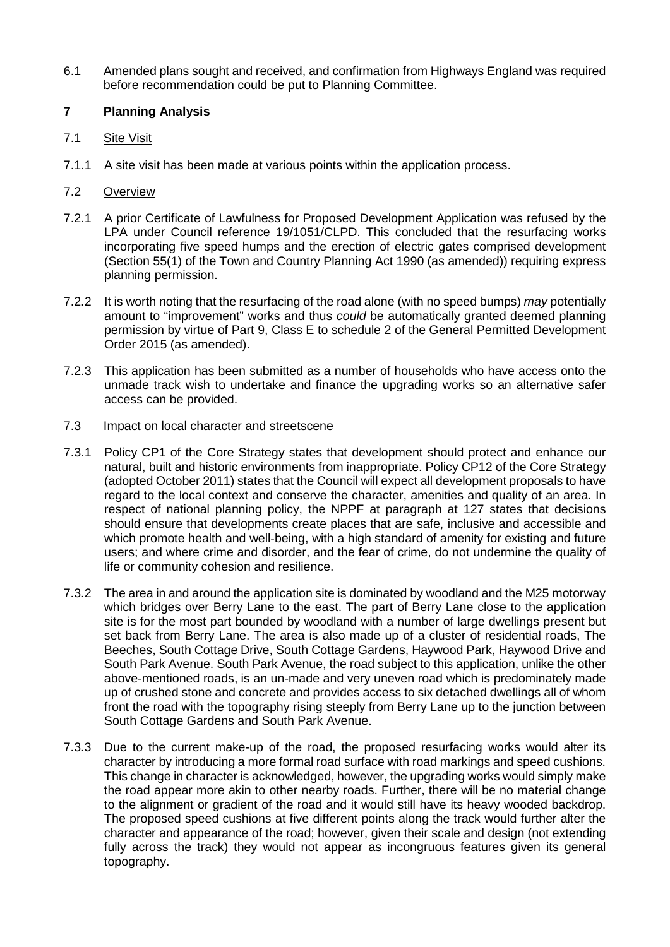6.1 Amended plans sought and received, and confirmation from Highways England was required before recommendation could be put to Planning Committee.

# **7 Planning Analysis**

- 7.1 Site Visit
- 7.1.1 A site visit has been made at various points within the application process.

# 7.2 Overview

- 7.2.1 A prior Certificate of Lawfulness for Proposed Development Application was refused by the LPA under Council reference 19/1051/CLPD. This concluded that the resurfacing works incorporating five speed humps and the erection of electric gates comprised development (Section 55(1) of the Town and Country Planning Act 1990 (as amended)) requiring express planning permission.
- 7.2.2 It is worth noting that the resurfacing of the road alone (with no speed bumps) *may* potentially amount to "improvement" works and thus *could* be automatically granted deemed planning permission by virtue of Part 9, Class E to schedule 2 of the General Permitted Development Order 2015 (as amended).
- 7.2.3 This application has been submitted as a number of households who have access onto the unmade track wish to undertake and finance the upgrading works so an alternative safer access can be provided.

# 7.3 Impact on local character and streetscene

- 7.3.1 Policy CP1 of the Core Strategy states that development should protect and enhance our natural, built and historic environments from inappropriate. Policy CP12 of the Core Strategy (adopted October 2011) states that the Council will expect all development proposals to have regard to the local context and conserve the character, amenities and quality of an area. In respect of national planning policy, the NPPF at paragraph at 127 states that decisions should ensure that developments create places that are safe, inclusive and accessible and which promote health and well-being, with a high standard of amenity for existing and future users; and where crime and disorder, and the fear of crime, do not undermine the quality of life or community cohesion and resilience.
- 7.3.2 The area in and around the application site is dominated by woodland and the M25 motorway which bridges over Berry Lane to the east. The part of Berry Lane close to the application site is for the most part bounded by woodland with a number of large dwellings present but set back from Berry Lane. The area is also made up of a cluster of residential roads, The Beeches, South Cottage Drive, South Cottage Gardens, Haywood Park, Haywood Drive and South Park Avenue. South Park Avenue, the road subject to this application, unlike the other above-mentioned roads, is an un-made and very uneven road which is predominately made up of crushed stone and concrete and provides access to six detached dwellings all of whom front the road with the topography rising steeply from Berry Lane up to the junction between South Cottage Gardens and South Park Avenue.
- 7.3.3 Due to the current make-up of the road, the proposed resurfacing works would alter its character by introducing a more formal road surface with road markings and speed cushions. This change in character is acknowledged, however, the upgrading works would simply make the road appear more akin to other nearby roads. Further, there will be no material change to the alignment or gradient of the road and it would still have its heavy wooded backdrop. The proposed speed cushions at five different points along the track would further alter the character and appearance of the road; however, given their scale and design (not extending fully across the track) they would not appear as incongruous features given its general topography.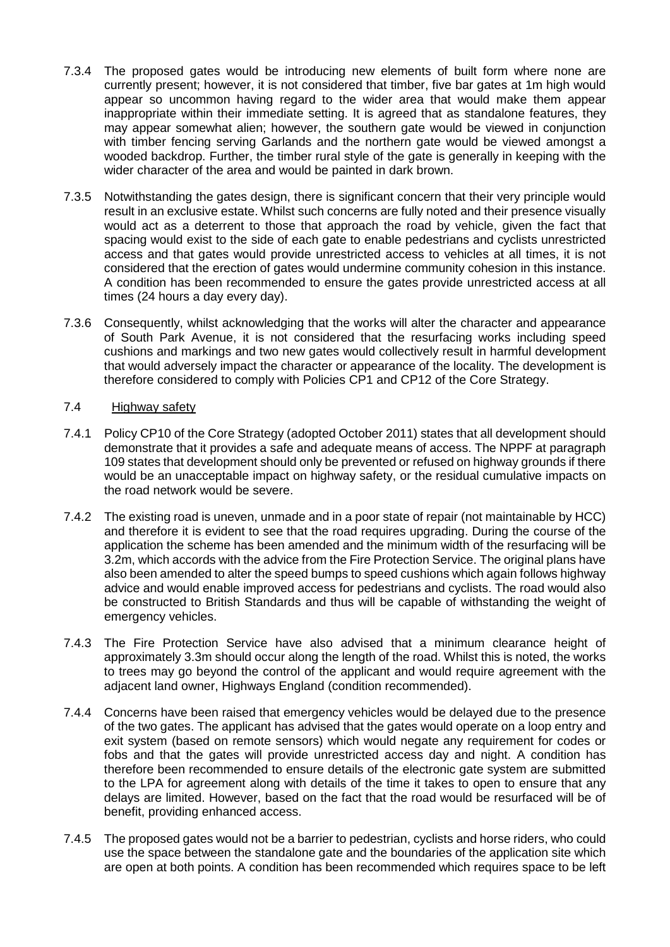- 7.3.4 The proposed gates would be introducing new elements of built form where none are currently present; however, it is not considered that timber, five bar gates at 1m high would appear so uncommon having regard to the wider area that would make them appear inappropriate within their immediate setting. It is agreed that as standalone features, they may appear somewhat alien; however, the southern gate would be viewed in conjunction with timber fencing serving Garlands and the northern gate would be viewed amongst a wooded backdrop. Further, the timber rural style of the gate is generally in keeping with the wider character of the area and would be painted in dark brown.
- 7.3.5 Notwithstanding the gates design, there is significant concern that their very principle would result in an exclusive estate. Whilst such concerns are fully noted and their presence visually would act as a deterrent to those that approach the road by vehicle, given the fact that spacing would exist to the side of each gate to enable pedestrians and cyclists unrestricted access and that gates would provide unrestricted access to vehicles at all times, it is not considered that the erection of gates would undermine community cohesion in this instance. A condition has been recommended to ensure the gates provide unrestricted access at all times (24 hours a day every day).
- 7.3.6 Consequently, whilst acknowledging that the works will alter the character and appearance of South Park Avenue, it is not considered that the resurfacing works including speed cushions and markings and two new gates would collectively result in harmful development that would adversely impact the character or appearance of the locality. The development is therefore considered to comply with Policies CP1 and CP12 of the Core Strategy.

# 7.4 Highway safety

- 7.4.1 Policy CP10 of the Core Strategy (adopted October 2011) states that all development should demonstrate that it provides a safe and adequate means of access. The NPPF at paragraph 109 states that development should only be prevented or refused on highway grounds if there would be an unacceptable impact on highway safety, or the residual cumulative impacts on the road network would be severe.
- 7.4.2 The existing road is uneven, unmade and in a poor state of repair (not maintainable by HCC) and therefore it is evident to see that the road requires upgrading. During the course of the application the scheme has been amended and the minimum width of the resurfacing will be 3.2m, which accords with the advice from the Fire Protection Service. The original plans have also been amended to alter the speed bumps to speed cushions which again follows highway advice and would enable improved access for pedestrians and cyclists. The road would also be constructed to British Standards and thus will be capable of withstanding the weight of emergency vehicles.
- 7.4.3 The Fire Protection Service have also advised that a minimum clearance height of approximately 3.3m should occur along the length of the road. Whilst this is noted, the works to trees may go beyond the control of the applicant and would require agreement with the adjacent land owner, Highways England (condition recommended).
- 7.4.4 Concerns have been raised that emergency vehicles would be delayed due to the presence of the two gates. The applicant has advised that the gates would operate on a loop entry and exit system (based on remote sensors) which would negate any requirement for codes or fobs and that the gates will provide unrestricted access day and night. A condition has therefore been recommended to ensure details of the electronic gate system are submitted to the LPA for agreement along with details of the time it takes to open to ensure that any delays are limited. However, based on the fact that the road would be resurfaced will be of benefit, providing enhanced access.
- 7.4.5 The proposed gates would not be a barrier to pedestrian, cyclists and horse riders, who could use the space between the standalone gate and the boundaries of the application site which are open at both points. A condition has been recommended which requires space to be left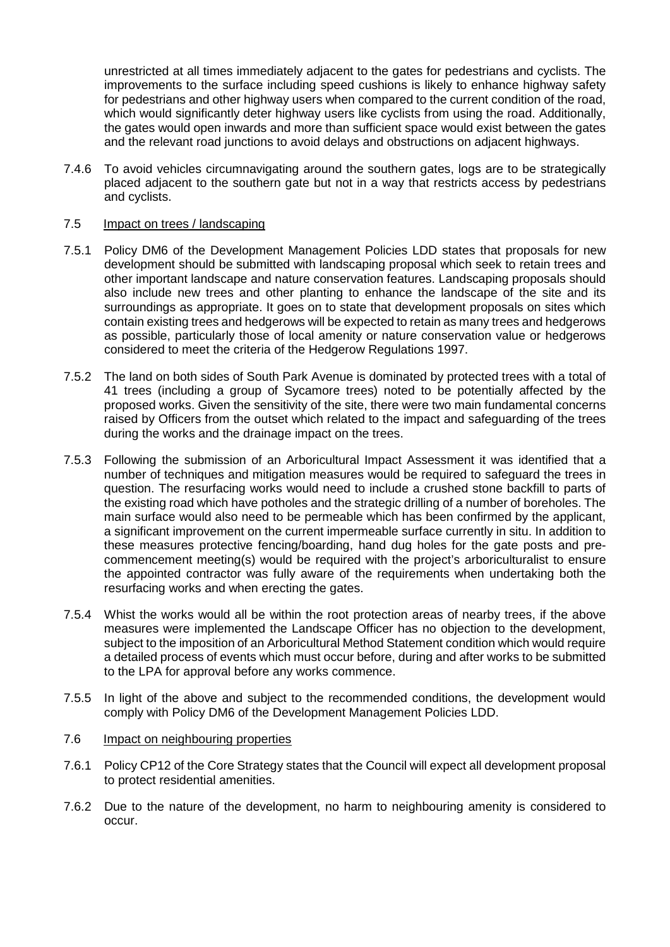unrestricted at all times immediately adjacent to the gates for pedestrians and cyclists. The improvements to the surface including speed cushions is likely to enhance highway safety for pedestrians and other highway users when compared to the current condition of the road, which would significantly deter highway users like cyclists from using the road. Additionally, the gates would open inwards and more than sufficient space would exist between the gates and the relevant road junctions to avoid delays and obstructions on adjacent highways.

7.4.6 To avoid vehicles circumnavigating around the southern gates, logs are to be strategically placed adjacent to the southern gate but not in a way that restricts access by pedestrians and cyclists.

# 7.5 Impact on trees / landscaping

- 7.5.1 Policy DM6 of the Development Management Policies LDD states that proposals for new development should be submitted with landscaping proposal which seek to retain trees and other important landscape and nature conservation features. Landscaping proposals should also include new trees and other planting to enhance the landscape of the site and its surroundings as appropriate. It goes on to state that development proposals on sites which contain existing trees and hedgerows will be expected to retain as many trees and hedgerows as possible, particularly those of local amenity or nature conservation value or hedgerows considered to meet the criteria of the Hedgerow Regulations 1997.
- 7.5.2 The land on both sides of South Park Avenue is dominated by protected trees with a total of 41 trees (including a group of Sycamore trees) noted to be potentially affected by the proposed works. Given the sensitivity of the site, there were two main fundamental concerns raised by Officers from the outset which related to the impact and safeguarding of the trees during the works and the drainage impact on the trees.
- 7.5.3 Following the submission of an Arboricultural Impact Assessment it was identified that a number of techniques and mitigation measures would be required to safeguard the trees in question. The resurfacing works would need to include a crushed stone backfill to parts of the existing road which have potholes and the strategic drilling of a number of boreholes. The main surface would also need to be permeable which has been confirmed by the applicant, a significant improvement on the current impermeable surface currently in situ. In addition to these measures protective fencing/boarding, hand dug holes for the gate posts and precommencement meeting(s) would be required with the project's arboriculturalist to ensure the appointed contractor was fully aware of the requirements when undertaking both the resurfacing works and when erecting the gates.
- 7.5.4 Whist the works would all be within the root protection areas of nearby trees, if the above measures were implemented the Landscape Officer has no objection to the development, subject to the imposition of an Arboricultural Method Statement condition which would require a detailed process of events which must occur before, during and after works to be submitted to the LPA for approval before any works commence.
- 7.5.5 In light of the above and subject to the recommended conditions, the development would comply with Policy DM6 of the Development Management Policies LDD.

# 7.6 Impact on neighbouring properties

- 7.6.1 Policy CP12 of the Core Strategy states that the Council will expect all development proposal to protect residential amenities.
- 7.6.2 Due to the nature of the development, no harm to neighbouring amenity is considered to occur.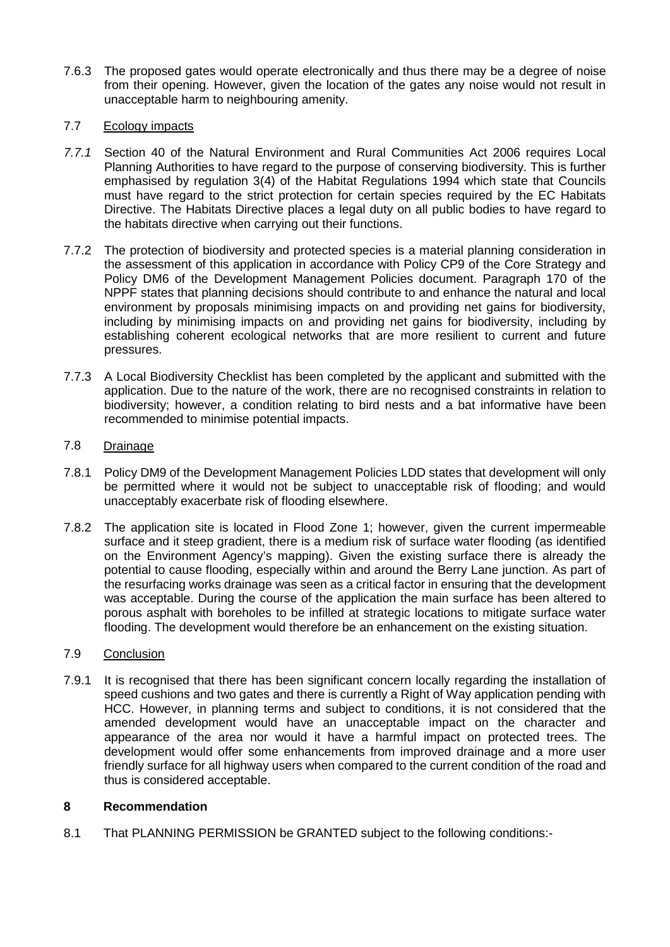7.6.3 The proposed gates would operate electronically and thus there may be a degree of noise from their opening. However, given the location of the gates any noise would not result in unacceptable harm to neighbouring amenity.

# 7.7 Ecology impacts

- *7.7.1* Section 40 of the Natural Environment and Rural Communities Act 2006 requires Local Planning Authorities to have regard to the purpose of conserving biodiversity. This is further emphasised by regulation 3(4) of the Habitat Regulations 1994 which state that Councils must have regard to the strict protection for certain species required by the EC Habitats Directive. The Habitats Directive places a legal duty on all public bodies to have regard to the habitats directive when carrying out their functions.
- 7.7.2 The protection of biodiversity and protected species is a material planning consideration in the assessment of this application in accordance with Policy CP9 of the Core Strategy and Policy DM6 of the Development Management Policies document. Paragraph 170 of the NPPF states that planning decisions should contribute to and enhance the natural and local environment by proposals minimising impacts on and providing net gains for biodiversity, including by minimising impacts on and providing net gains for biodiversity, including by establishing coherent ecological networks that are more resilient to current and future pressures.
- 7.7.3 A Local Biodiversity Checklist has been completed by the applicant and submitted with the application. Due to the nature of the work, there are no recognised constraints in relation to biodiversity; however, a condition relating to bird nests and a bat informative have been recommended to minimise potential impacts.

# 7.8 Drainage

- 7.8.1 Policy DM9 of the Development Management Policies LDD states that development will only be permitted where it would not be subject to unacceptable risk of flooding; and would unacceptably exacerbate risk of flooding elsewhere.
- 7.8.2 The application site is located in Flood Zone 1; however, given the current impermeable surface and it steep gradient, there is a medium risk of surface water flooding (as identified on the Environment Agency's mapping). Given the existing surface there is already the potential to cause flooding, especially within and around the Berry Lane junction. As part of the resurfacing works drainage was seen as a critical factor in ensuring that the development was acceptable. During the course of the application the main surface has been altered to porous asphalt with boreholes to be infilled at strategic locations to mitigate surface water flooding. The development would therefore be an enhancement on the existing situation.

### 7.9 Conclusion

7.9.1 It is recognised that there has been significant concern locally regarding the installation of speed cushions and two gates and there is currently a Right of Way application pending with HCC. However, in planning terms and subject to conditions, it is not considered that the amended development would have an unacceptable impact on the character and appearance of the area nor would it have a harmful impact on protected trees. The development would offer some enhancements from improved drainage and a more user friendly surface for all highway users when compared to the current condition of the road and thus is considered acceptable.

# **8 Recommendation**

8.1 That PLANNING PERMISSION be GRANTED subject to the following conditions:-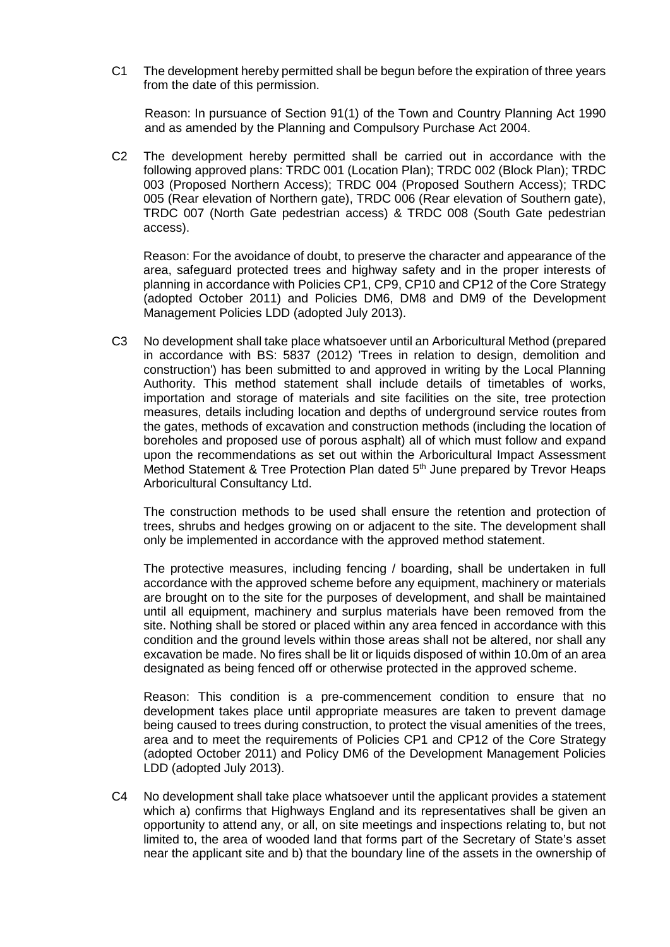C1 The development hereby permitted shall be begun before the expiration of three years from the date of this permission.

Reason: In pursuance of Section 91(1) of the Town and Country Planning Act 1990 and as amended by the Planning and Compulsory Purchase Act 2004.

C2 The development hereby permitted shall be carried out in accordance with the following approved plans: TRDC 001 (Location Plan); TRDC 002 (Block Plan); TRDC 003 (Proposed Northern Access); TRDC 004 (Proposed Southern Access); TRDC 005 (Rear elevation of Northern gate), TRDC 006 (Rear elevation of Southern gate), TRDC 007 (North Gate pedestrian access) & TRDC 008 (South Gate pedestrian access).

Reason: For the avoidance of doubt, to preserve the character and appearance of the area, safeguard protected trees and highway safety and in the proper interests of planning in accordance with Policies CP1, CP9, CP10 and CP12 of the Core Strategy (adopted October 2011) and Policies DM6, DM8 and DM9 of the Development Management Policies LDD (adopted July 2013).

C3 No development shall take place whatsoever until an Arboricultural Method (prepared in accordance with BS: 5837 (2012) 'Trees in relation to design, demolition and construction') has been submitted to and approved in writing by the Local Planning Authority. This method statement shall include details of timetables of works, importation and storage of materials and site facilities on the site, tree protection measures, details including location and depths of underground service routes from the gates, methods of excavation and construction methods (including the location of boreholes and proposed use of porous asphalt) all of which must follow and expand upon the recommendations as set out within the Arboricultural Impact Assessment Method Statement & Tree Protection Plan dated 5<sup>th</sup> June prepared by Trevor Heaps Arboricultural Consultancy Ltd.

The construction methods to be used shall ensure the retention and protection of trees, shrubs and hedges growing on or adjacent to the site. The development shall only be implemented in accordance with the approved method statement.

The protective measures, including fencing / boarding, shall be undertaken in full accordance with the approved scheme before any equipment, machinery or materials are brought on to the site for the purposes of development, and shall be maintained until all equipment, machinery and surplus materials have been removed from the site. Nothing shall be stored or placed within any area fenced in accordance with this condition and the ground levels within those areas shall not be altered, nor shall any excavation be made. No fires shall be lit or liquids disposed of within 10.0m of an area designated as being fenced off or otherwise protected in the approved scheme.

Reason: This condition is a pre-commencement condition to ensure that no development takes place until appropriate measures are taken to prevent damage being caused to trees during construction, to protect the visual amenities of the trees, area and to meet the requirements of Policies CP1 and CP12 of the Core Strategy (adopted October 2011) and Policy DM6 of the Development Management Policies LDD (adopted July 2013).

C4 No development shall take place whatsoever until the applicant provides a statement which a) confirms that Highways England and its representatives shall be given an opportunity to attend any, or all, on site meetings and inspections relating to, but not limited to, the area of wooded land that forms part of the Secretary of State's asset near the applicant site and b) that the boundary line of the assets in the ownership of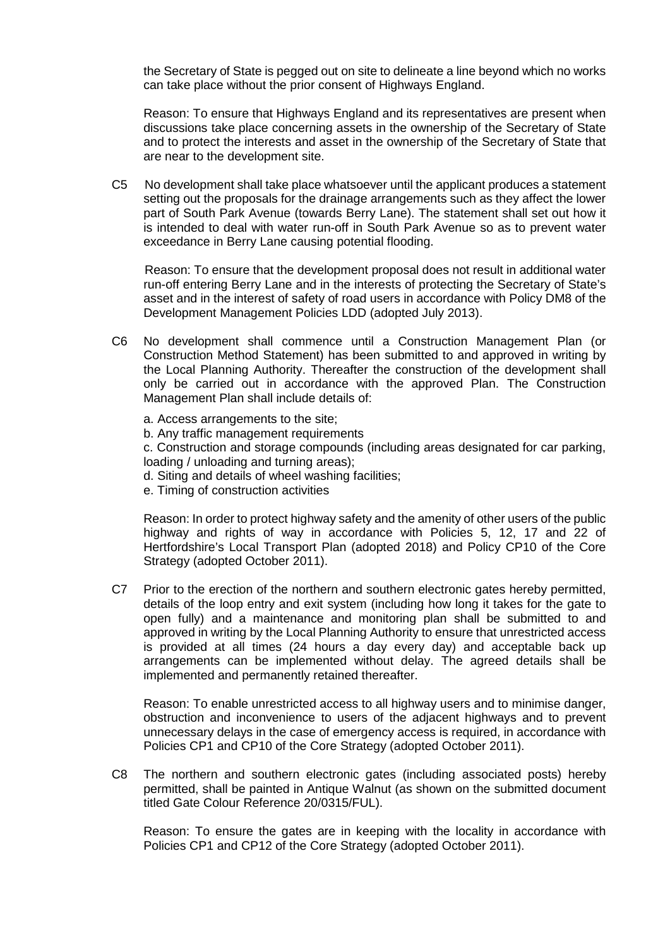the Secretary of State is pegged out on site to delineate a line beyond which no works can take place without the prior consent of Highways England.

Reason: To ensure that Highways England and its representatives are present when discussions take place concerning assets in the ownership of the Secretary of State and to protect the interests and asset in the ownership of the Secretary of State that are near to the development site.

C5 No development shall take place whatsoever until the applicant produces a statement setting out the proposals for the drainage arrangements such as they affect the lower part of South Park Avenue (towards Berry Lane). The statement shall set out how it is intended to deal with water run-off in South Park Avenue so as to prevent water exceedance in Berry Lane causing potential flooding.

Reason: To ensure that the development proposal does not result in additional water run-off entering Berry Lane and in the interests of protecting the Secretary of State's asset and in the interest of safety of road users in accordance with Policy DM8 of the Development Management Policies LDD (adopted July 2013).

- C6 No development shall commence until a Construction Management Plan (or Construction Method Statement) has been submitted to and approved in writing by the Local Planning Authority. Thereafter the construction of the development shall only be carried out in accordance with the approved Plan. The Construction Management Plan shall include details of:
	- a. Access arrangements to the site; b. Any traffic management requirements c. Construction and storage compounds (including areas designated for car parking, loading / unloading and turning areas);
		- d. Siting and details of wheel washing facilities;
		- e. Timing of construction activities

Reason: In order to protect highway safety and the amenity of other users of the public highway and rights of way in accordance with Policies 5, 12, 17 and 22 of Hertfordshire's Local Transport Plan (adopted 2018) and Policy CP10 of the Core Strategy (adopted October 2011).

C7 Prior to the erection of the northern and southern electronic gates hereby permitted, details of the loop entry and exit system (including how long it takes for the gate to open fully) and a maintenance and monitoring plan shall be submitted to and approved in writing by the Local Planning Authority to ensure that unrestricted access is provided at all times (24 hours a day every day) and acceptable back up arrangements can be implemented without delay. The agreed details shall be implemented and permanently retained thereafter.

Reason: To enable unrestricted access to all highway users and to minimise danger, obstruction and inconvenience to users of the adjacent highways and to prevent unnecessary delays in the case of emergency access is required, in accordance with Policies CP1 and CP10 of the Core Strategy (adopted October 2011).

C8 The northern and southern electronic gates (including associated posts) hereby permitted, shall be painted in Antique Walnut (as shown on the submitted document titled Gate Colour Reference 20/0315/FUL).

Reason: To ensure the gates are in keeping with the locality in accordance with Policies CP1 and CP12 of the Core Strategy (adopted October 2011).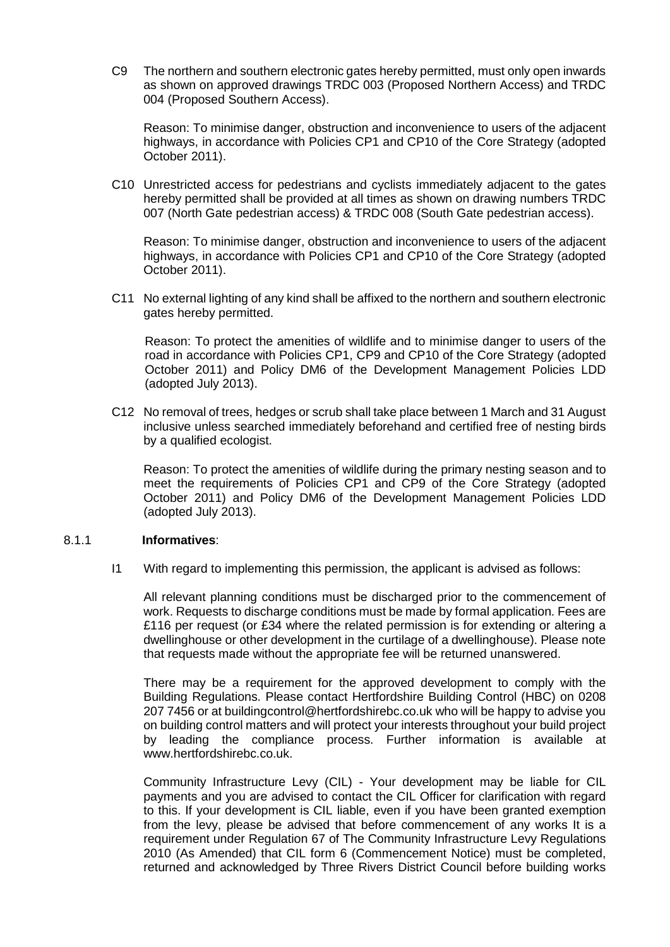C9 The northern and southern electronic gates hereby permitted, must only open inwards as shown on approved drawings TRDC 003 (Proposed Northern Access) and TRDC 004 (Proposed Southern Access).

Reason: To minimise danger, obstruction and inconvenience to users of the adjacent highways, in accordance with Policies CP1 and CP10 of the Core Strategy (adopted October 2011).

C10 Unrestricted access for pedestrians and cyclists immediately adjacent to the gates hereby permitted shall be provided at all times as shown on drawing numbers TRDC 007 (North Gate pedestrian access) & TRDC 008 (South Gate pedestrian access).

Reason: To minimise danger, obstruction and inconvenience to users of the adjacent highways, in accordance with Policies CP1 and CP10 of the Core Strategy (adopted October 2011).

C11 No external lighting of any kind shall be affixed to the northern and southern electronic gates hereby permitted.

Reason: To protect the amenities of wildlife and to minimise danger to users of the road in accordance with Policies CP1, CP9 and CP10 of the Core Strategy (adopted October 2011) and Policy DM6 of the Development Management Policies LDD (adopted July 2013).

C12 No removal of trees, hedges or scrub shall take place between 1 March and 31 August inclusive unless searched immediately beforehand and certified free of nesting birds by a qualified ecologist.

Reason: To protect the amenities of wildlife during the primary nesting season and to meet the requirements of Policies CP1 and CP9 of the Core Strategy (adopted October 2011) and Policy DM6 of the Development Management Policies LDD (adopted July 2013).

### 8.1.1 **Informatives**:

I1 With regard to implementing this permission, the applicant is advised as follows:

All relevant planning conditions must be discharged prior to the commencement of work. Requests to discharge conditions must be made by formal application. Fees are £116 per request (or £34 where the related permission is for extending or altering a dwellinghouse or other development in the curtilage of a dwellinghouse). Please note that requests made without the appropriate fee will be returned unanswered.

There may be a requirement for the approved development to comply with the Building Regulations. Please contact Hertfordshire Building Control (HBC) on 0208 207 7456 or at buildingcontrol@hertfordshirebc.co.uk who will be happy to advise you on building control matters and will protect your interests throughout your build project by leading the compliance process. Further information is available at www.hertfordshirebc.co.uk.

Community Infrastructure Levy (CIL) - Your development may be liable for CIL payments and you are advised to contact the CIL Officer for clarification with regard to this. If your development is CIL liable, even if you have been granted exemption from the levy, please be advised that before commencement of any works It is a requirement under Regulation 67 of The Community Infrastructure Levy Regulations 2010 (As Amended) that CIL form 6 (Commencement Notice) must be completed, returned and acknowledged by Three Rivers District Council before building works